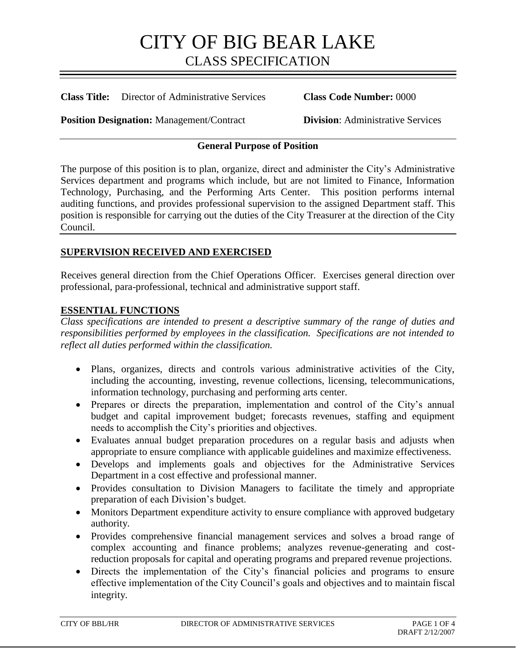**Class Title:** Director of Administrative Services **Class Code Number:** 0000

**Position Designation:** Management/Contract **Division**: Administrative Services

### **General Purpose of Position**

The purpose of this position is to plan, organize, direct and administer the City's Administrative Services department and programs which include, but are not limited to Finance, Information Technology, Purchasing, and the Performing Arts Center. This position performs internal auditing functions, and provides professional supervision to the assigned Department staff. This position is responsible for carrying out the duties of the City Treasurer at the direction of the City Council.

#### **SUPERVISION RECEIVED AND EXERCISED**

Receives general direction from the Chief Operations Officer. Exercises general direction over professional, para-professional, technical and administrative support staff.

#### **ESSENTIAL FUNCTIONS**

*Class specifications are intended to present a descriptive summary of the range of duties and responsibilities performed by employees in the classification. Specifications are not intended to reflect all duties performed within the classification.*

- Plans, organizes, directs and controls various administrative activities of the City, including the accounting, investing, revenue collections, licensing, telecommunications, information technology, purchasing and performing arts center.
- Prepares or directs the preparation, implementation and control of the City's annual budget and capital improvement budget; forecasts revenues, staffing and equipment needs to accomplish the City's priorities and objectives.
- Evaluates annual budget preparation procedures on a regular basis and adjusts when appropriate to ensure compliance with applicable guidelines and maximize effectiveness.
- Develops and implements goals and objectives for the Administrative Services Department in a cost effective and professional manner.
- Provides consultation to Division Managers to facilitate the timely and appropriate preparation of each Division's budget.
- Monitors Department expenditure activity to ensure compliance with approved budgetary authority.
- Provides comprehensive financial management services and solves a broad range of complex accounting and finance problems; analyzes revenue-generating and costreduction proposals for capital and operating programs and prepared revenue projections.
- Directs the implementation of the City's financial policies and programs to ensure effective implementation of the City Council's goals and objectives and to maintain fiscal integrity.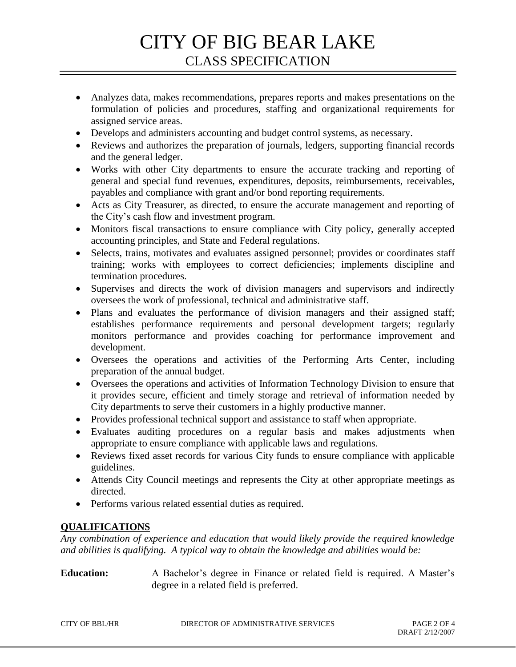- Analyzes data, makes recommendations, prepares reports and makes presentations on the formulation of policies and procedures, staffing and organizational requirements for assigned service areas.
- Develops and administers accounting and budget control systems, as necessary.
- Reviews and authorizes the preparation of journals, ledgers, supporting financial records and the general ledger.
- Works with other City departments to ensure the accurate tracking and reporting of general and special fund revenues, expenditures, deposits, reimbursements, receivables, payables and compliance with grant and/or bond reporting requirements.
- Acts as City Treasurer, as directed, to ensure the accurate management and reporting of the City's cash flow and investment program.
- Monitors fiscal transactions to ensure compliance with City policy, generally accepted accounting principles, and State and Federal regulations.
- Selects, trains, motivates and evaluates assigned personnel; provides or coordinates staff training; works with employees to correct deficiencies; implements discipline and termination procedures.
- Supervises and directs the work of division managers and supervisors and indirectly oversees the work of professional, technical and administrative staff.
- Plans and evaluates the performance of division managers and their assigned staff; establishes performance requirements and personal development targets; regularly monitors performance and provides coaching for performance improvement and development.
- Oversees the operations and activities of the Performing Arts Center, including preparation of the annual budget.
- Oversees the operations and activities of Information Technology Division to ensure that it provides secure, efficient and timely storage and retrieval of information needed by City departments to serve their customers in a highly productive manner.
- Provides professional technical support and assistance to staff when appropriate.
- Evaluates auditing procedures on a regular basis and makes adjustments when appropriate to ensure compliance with applicable laws and regulations.
- Reviews fixed asset records for various City funds to ensure compliance with applicable guidelines.
- Attends City Council meetings and represents the City at other appropriate meetings as directed.
- Performs various related essential duties as required.

### **QUALIFICATIONS**

*Any combination of experience and education that would likely provide the required knowledge and abilities is qualifying. A typical way to obtain the knowledge and abilities would be:*

### **Education:** A Bachelor's degree in Finance or related field is required. A Master's degree in a related field is preferred.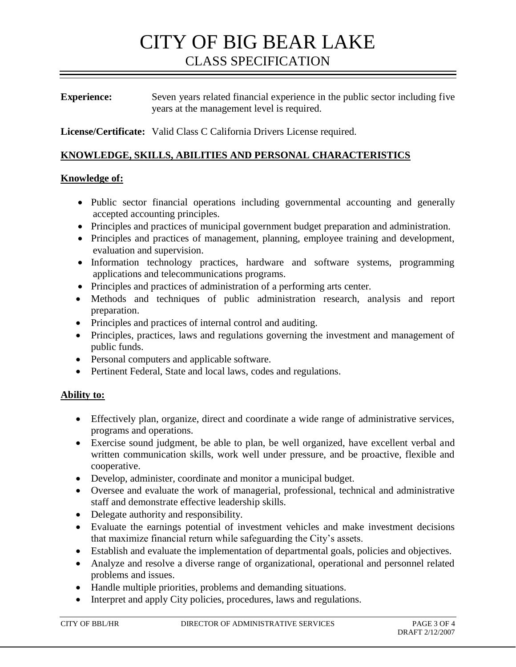**Experience:** Seven years related financial experience in the public sector including five years at the management level is required.

**License/Certificate:** Valid Class C California Drivers License required.

### **KNOWLEDGE, SKILLS, ABILITIES AND PERSONAL CHARACTERISTICS**

#### **Knowledge of:**

- Public sector financial operations including governmental accounting and generally accepted accounting principles.
- Principles and practices of municipal government budget preparation and administration.
- Principles and practices of management, planning, employee training and development, evaluation and supervision.
- Information technology practices, hardware and software systems, programming applications and telecommunications programs.
- Principles and practices of administration of a performing arts center.
- Methods and techniques of public administration research, analysis and report preparation.
- Principles and practices of internal control and auditing.
- Principles, practices, laws and regulations governing the investment and management of public funds.
- Personal computers and applicable software.
- Pertinent Federal, State and local laws, codes and regulations.

### **Ability to:**

- Effectively plan, organize, direct and coordinate a wide range of administrative services, programs and operations.
- Exercise sound judgment, be able to plan, be well organized, have excellent verbal and written communication skills, work well under pressure, and be proactive, flexible and cooperative.
- Develop, administer, coordinate and monitor a municipal budget.
- Oversee and evaluate the work of managerial, professional, technical and administrative staff and demonstrate effective leadership skills.
- Delegate authority and responsibility.
- Evaluate the earnings potential of investment vehicles and make investment decisions that maximize financial return while safeguarding the City's assets.
- Establish and evaluate the implementation of departmental goals, policies and objectives.
- Analyze and resolve a diverse range of organizational, operational and personnel related problems and issues.
- Handle multiple priorities, problems and demanding situations.
- Interpret and apply City policies, procedures, laws and regulations.